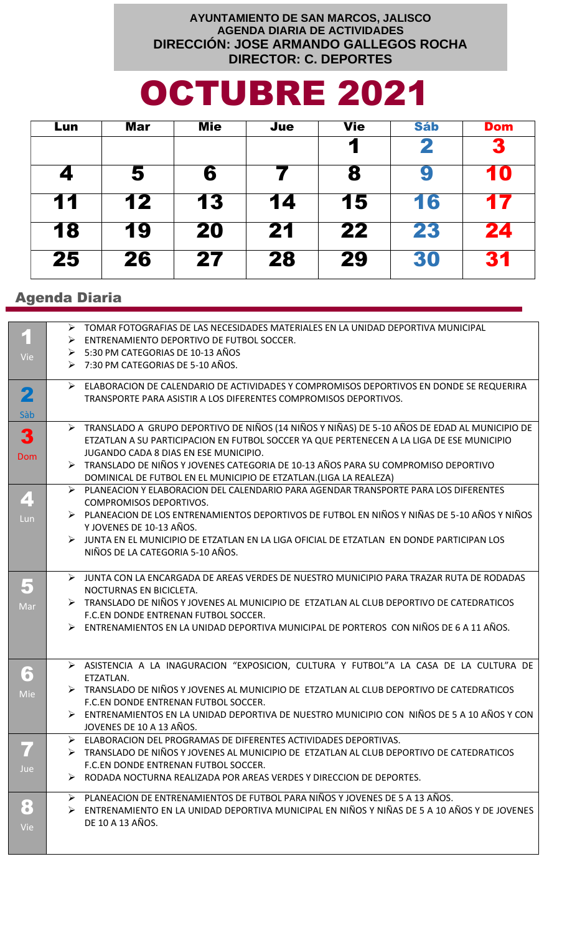## AYUNTAMIENTO DE SAN MARCOS, JALISCO **AGENDA DIARIA DE ACTIVIDADES** DIRECCIÓN: JOSE ARMANDO GALLEGOS ROCHA **DIRECTOR: C. DEPORTES**

## **OCTUBRE 2021**

| Lun | Mar | Mie | Jue | <b>Vie</b> | <b>Sáb</b> | <b>Dom</b> |
|-----|-----|-----|-----|------------|------------|------------|
|     |     |     |     |            | 2          | 3          |
|     | 5   | 6   |     | 8          | ¥          | 10         |
| 11  | 12  | 13  | 14  | 15         | 16         | 17         |
| 18  | 19  | 20  | 21  | 22         | 23         | 24         |
| 25  | 26  | 27  | 28  | 29         | 30         | 31         |

## **Agenda Diaria**

|                         | > TOMAR FOTOGRAFIAS DE LAS NECESIDADES MATERIALES EN LA UNIDAD DEPORTIVA MUNICIPAL                           |
|-------------------------|--------------------------------------------------------------------------------------------------------------|
| $\overline{\mathbf{1}}$ | ENTRENAMIENTO DEPORTIVO DE FUTBOL SOCCER.                                                                    |
|                         | > 5:30 PM CATEGORIAS DE 10-13 AÑOS                                                                           |
| Vie                     | ▶ 7:30 PM CATEGORIAS DE 5-10 AÑOS.                                                                           |
|                         |                                                                                                              |
|                         | ELABORACION DE CALENDARIO DE ACTIVIDADES Y COMPROMISOS DEPORTIVOS EN DONDE SE REQUERIRA                      |
| 2                       | TRANSPORTE PARA ASISTIR A LOS DIFERENTES COMPROMISOS DEPORTIVOS.                                             |
|                         |                                                                                                              |
| Sàb                     |                                                                                                              |
|                         | > TRANSLADO A GRUPO DEPORTIVO DE NIÑOS (14 NIÑOS Y NIÑAS) DE 5-10 AÑOS DE EDAD AL MUNICIPIO DE               |
| 3                       | ETZATLAN A SU PARTICIPACION EN FUTBOL SOCCER YA QUE PERTENECEN A LA LIGA DE ESE MUNICIPIO                    |
|                         | JUGANDO CADA 8 DIAS EN ESE MUNICIPIO.                                                                        |
| <b>Dom</b>              | FRANSLADO DE NIÑOS Y JOVENES CATEGORIA DE 10-13 AÑOS PARA SU COMPROMISO DEPORTIVO                            |
|                         | DOMINICAL DE FUTBOL EN EL MUNICIPIO DE ETZATLAN.(LIGA LA REALEZA)                                            |
|                         |                                                                                                              |
| 4                       | > PLANEACION Y ELABORACION DEL CALENDARIO PARA AGENDAR TRANSPORTE PARA LOS DIFERENTES                        |
|                         | <b>COMPROMISOS DEPORTIVOS.</b>                                                                               |
| Lun                     | EXAMEDION DE LOS ENTRENAMIENTOS DEPORTIVOS DE FUTBOL EN NIÑOS Y NIÑAS DE 5-10 AÑOS Y NIÑOS                   |
|                         | Y JOVENES DE 10-13 AÑOS.                                                                                     |
|                         | > JUNTA EN EL MUNICIPIO DE ETZATLAN EN LA LIGA OFICIAL DE ETZATLAN EN DONDE PARTICIPAN LOS                   |
|                         | NIÑOS DE LA CATEGORIA 5-10 AÑOS.                                                                             |
|                         |                                                                                                              |
|                         | > JUNTA CON LA ENCARGADA DE AREAS VERDES DE NUESTRO MUNICIPIO PARA TRAZAR RUTA DE RODADAS                    |
| 5                       | NOCTURNAS EN BICICLETA.                                                                                      |
|                         | FRANSLADO DE NIÑOS Y JOVENES AL MUNICIPIO DE ETZATLAN AL CLUB DEPORTIVO DE CATEDRATICOS                      |
| Mar                     |                                                                                                              |
|                         | F.C.EN DONDE ENTRENAN FUTBOL SOCCER.                                                                         |
|                         | > ENTRENAMIENTOS EN LA UNIDAD DEPORTIVA MUNICIPAL DE PORTEROS CON NIÑOS DE 6 A 11 AÑOS.                      |
|                         |                                                                                                              |
|                         |                                                                                                              |
|                         | > ASISTENCIA A LA INAGURACION "EXPOSICION, CULTURA Y FUTBOL"A LA CASA DE LA CULTURA DE                       |
| 6                       | ETZATLAN.                                                                                                    |
| Mie                     | > TRANSLADO DE NIÑOS Y JOVENES AL MUNICIPIO DE ETZATLAN AL CLUB DEPORTIVO DE CATEDRATICOS                    |
|                         | F.C.EN DONDE ENTRENAN FUTBOL SOCCER.                                                                         |
|                         | ENTRENAMIENTOS EN LA UNIDAD DEPORTIVA DE NUESTRO MUNICIPIO CON NIÑOS DE 5 A 10 AÑOS Y CON                    |
|                         | JOVENES DE 10 A 13 AÑOS.                                                                                     |
|                         |                                                                                                              |
|                         | ELABORACION DEL PROGRAMAS DE DIFERENTES ACTIVIDADES DEPORTIVAS.<br>➤                                         |
|                         | TRANSLADO DE NIÑOS Y JOVENES AL MUNICIPIO DE ETZATLAN AL CLUB DEPORTIVO DE CATEDRATICOS                      |
| Jue                     | F.C.EN DONDE ENTRENAN FUTBOL SOCCER.                                                                         |
|                         | > RODADA NOCTURNA REALIZADA POR AREAS VERDES Y DIRECCION DE DEPORTES.                                        |
|                         |                                                                                                              |
|                         | EXAMELED AND DE ENTRENAMIENTOS DE FUTBOL PARA NIÑOS Y JOVENES DE 5 A 13 AÑOS.                                |
| 8                       | $\triangleright$ ENTRENAMIENTO EN LA UNIDAD DEPORTIVA MUNICIPAL EN NIÑOS Y NIÑAS DE 5 A 10 AÑOS Y DE JOVENES |
| Vie                     | DE 10 A 13 AÑOS.                                                                                             |
|                         |                                                                                                              |
|                         |                                                                                                              |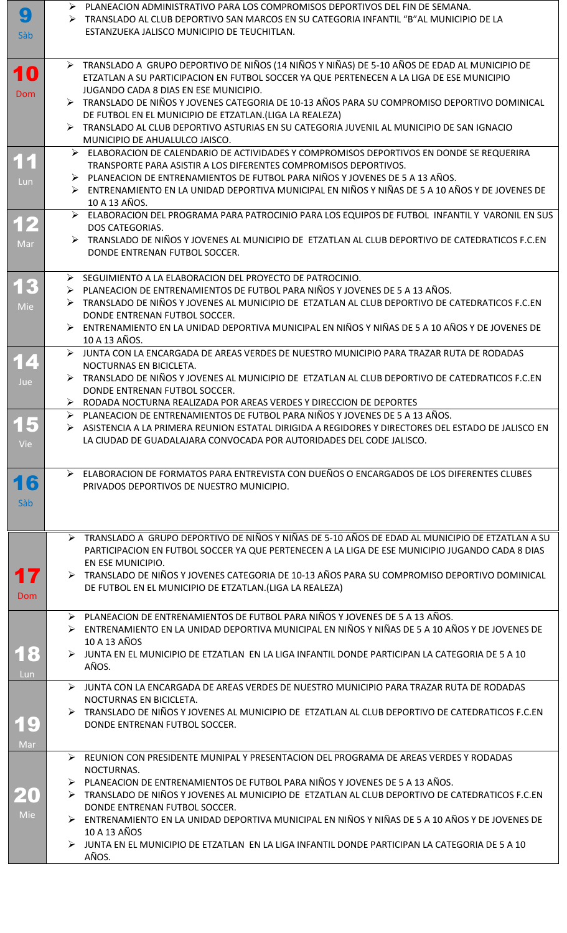| 9          | $\triangleright$ - PLANEACION ADMINISTRATIVO PARA LOS COMPROMISOS DEPORTIVOS DEL FIN DE SEMANA.      |
|------------|------------------------------------------------------------------------------------------------------|
|            | > TRANSLADO AL CLUB DEPORTIVO SAN MARCOS EN SU CATEGORIA INFANTIL "B"AL MUNICIPIO DE LA              |
| Sàb        | ESTANZUEKA JALISCO MUNICIPIO DE TEUCHITLAN.                                                          |
|            |                                                                                                      |
|            |                                                                                                      |
|            | > TRANSLADO A GRUPO DEPORTIVO DE NIÑOS (14 NIÑOS Y NIÑAS) DE 5-10 AÑOS DE EDAD AL MUNICIPIO DE       |
| 10         | ETZATLAN A SU PARTICIPACION EN FUTBOL SOCCER YA QUE PERTENECEN A LA LIGA DE ESE MUNICIPIO            |
|            | JUGANDO CADA 8 DIAS EN ESE MUNICIPIO.                                                                |
| <b>Dom</b> | TRANSLADO DE NIÑOS Y JOVENES CATEGORIA DE 10-13 AÑOS PARA SU COMPROMISO DEPORTIVO DOMINICAL          |
|            | DE FUTBOL EN EL MUNICIPIO DE ETZATLAN.(LIGA LA REALEZA)                                              |
|            | FRANSLADO AL CLUB DEPORTIVO ASTURIAS EN SU CATEGORIA JUVENIL AL MUNICIPIO DE SAN IGNACIO             |
|            |                                                                                                      |
|            | MUNICIPIO DE AHUALULCO JAISCO.                                                                       |
|            | ELABORACION DE CALENDARIO DE ACTIVIDADES Y COMPROMISOS DEPORTIVOS EN DONDE SE REQUERIRA              |
| 11         | TRANSPORTE PARA ASISTIR A LOS DIFERENTES COMPROMISOS DEPORTIVOS.                                     |
| Lun        | > PLANEACION DE ENTRENAMIENTOS DE FUTBOL PARA NIÑOS Y JOVENES DE 5 A 13 AÑOS.                        |
|            | ENTRENAMIENTO EN LA UNIDAD DEPORTIVA MUNICIPAL EN NIÑOS Y NIÑAS DE 5 A 10 AÑOS Y DE JOVENES DE       |
|            | 10 A 13 AÑOS.                                                                                        |
|            | ELABORACION DEL PROGRAMA PARA PATROCINIO PARA LOS EQUIPOS DE FUTBOL INFANTIL Y VARONIL EN SUS        |
| 12         | DOS CATEGORIAS.                                                                                      |
|            | TRANSLADO DE NIÑOS Y JOVENES AL MUNICIPIO DE ETZATLAN AL CLUB DEPORTIVO DE CATEDRATICOS F.C.EN       |
| Mar        | DONDE ENTRENAN FUTBOL SOCCER.                                                                        |
|            |                                                                                                      |
|            |                                                                                                      |
| 13         | > SEGUIMIENTO A LA ELABORACION DEL PROYECTO DE PATROCINIO.                                           |
|            | > PLANEACION DE ENTRENAMIENTOS DE FUTBOL PARA NIÑOS Y JOVENES DE 5 A 13 AÑOS.                        |
| Mie        | TRANSLADO DE NIÑOS Y JOVENES AL MUNICIPIO DE ETZATLAN AL CLUB DEPORTIVO DE CATEDRATICOS F.C.EN       |
|            | DONDE ENTRENAN FUTBOL SOCCER.                                                                        |
|            | ENTRENAMIENTO EN LA UNIDAD DEPORTIVA MUNICIPAL EN NIÑOS Y NIÑAS DE 5 A 10 AÑOS Y DE JOVENES DE       |
|            | 10 A 13 AÑOS.                                                                                        |
|            | JUNTA CON LA ENCARGADA DE AREAS VERDES DE NUESTRO MUNICIPIO PARA TRAZAR RUTA DE RODADAS<br>➤         |
| 14         | NOCTURNAS EN BICICLETA.                                                                              |
|            | > TRANSLADO DE NIÑOS Y JOVENES AL MUNICIPIO DE ETZATLAN AL CLUB DEPORTIVO DE CATEDRATICOS F.C.EN     |
| Jue        | DONDE ENTRENAN FUTBOL SOCCER.                                                                        |
|            | > RODADA NOCTURNA REALIZADA POR AREAS VERDES Y DIRECCION DE DEPORTES                                 |
|            |                                                                                                      |
| 15         | > PLANEACION DE ENTRENAMIENTOS DE FUTBOL PARA NIÑOS Y JOVENES DE 5 A 13 AÑOS.                        |
|            | > ASISTENCIA A LA PRIMERA REUNION ESTATAL DIRIGIDA A REGIDORES Y DIRECTORES DEL ESTADO DE JALISCO EN |
|            |                                                                                                      |
| <b>Vie</b> | LA CIUDAD DE GUADALAJARA CONVOCADA POR AUTORIDADES DEL CODE JALISCO.                                 |
|            |                                                                                                      |
|            |                                                                                                      |
|            | ELABORACION DE FORMATOS PARA ENTREVISTA CON DUEÑOS O ENCARGADOS DE LOS DIFERENTES CLUBES             |
| 16         | PRIVADOS DEPORTIVOS DE NUESTRO MUNICIPIO.                                                            |
| Sàb        |                                                                                                      |
|            |                                                                                                      |
|            |                                                                                                      |
|            | > TRANSLADO A GRUPO DEPORTIVO DE NIÑOS Y NIÑAS DE 5-10 AÑOS DE EDAD AL MUNICIPIO DE ETZATLAN A SU    |
|            | PARTICIPACION EN FUTBOL SOCCER YA QUE PERTENECEN A LA LIGA DE ESE MUNICIPIO JUGANDO CADA 8 DIAS      |
|            | EN ESE MUNICIPIO.                                                                                    |
|            | FRANSLADO DE NIÑOS Y JOVENES CATEGORIA DE 10-13 AÑOS PARA SU COMPROMISO DEPORTIVO DOMINICAL          |
| 17         |                                                                                                      |
| Dom        | DE FUTBOL EN EL MUNICIPIO DE ETZATLAN.(LIGA LA REALEZA)                                              |
|            |                                                                                                      |
|            | > PLANEACION DE ENTRENAMIENTOS DE FUTBOL PARA NIÑOS Y JOVENES DE 5 A 13 AÑOS.                        |
|            | > ENTRENAMIENTO EN LA UNIDAD DEPORTIVA MUNICIPAL EN NIÑOS Y NIÑAS DE 5 A 10 AÑOS Y DE JOVENES DE     |
|            | 10 A 13 AÑOS                                                                                         |
| 18         | > JUNTA EN EL MUNICIPIO DE ETZATLAN EN LA LIGA INFANTIL DONDE PARTICIPAN LA CATEGORIA DE 5 A 10      |
|            | AÑOS.                                                                                                |
| Lun        |                                                                                                      |
|            | > JUNTA CON LA ENCARGADA DE AREAS VERDES DE NUESTRO MUNICIPIO PARA TRAZAR RUTA DE RODADAS            |
|            | NOCTURNAS EN BICICLETA.                                                                              |
|            | TRANSLADO DE NIÑOS Y JOVENES AL MUNICIPIO DE ETZATLAN AL CLUB DEPORTIVO DE CATEDRATICOS F.C.EN       |
| 19         | DONDE ENTRENAN FUTBOL SOCCER.                                                                        |
|            |                                                                                                      |
| Mar        |                                                                                                      |
|            | EUNION CON PRESIDENTE MUNIPAL Y PRESENTACION DEL PROGRAMA DE AREAS VERDES Y RODADAS                  |
|            | NOCTURNAS.                                                                                           |
|            | > PLANEACION DE ENTRENAMIENTOS DE FUTBOL PARA NIÑOS Y JOVENES DE 5 A 13 AÑOS.                        |
|            | FRANSLADO DE NIÑOS Y JOVENES AL MUNICIPIO DE ETZATLAN AL CLUB DEPORTIVO DE CATEDRATICOS F.C.EN       |
|            | DONDE ENTRENAN FUTBOL SOCCER.                                                                        |
| Mie        | ENTRENAMIENTO EN LA UNIDAD DEPORTIVA MUNICIPAL EN NIÑOS Y NIÑAS DE 5 A 10 AÑOS Y DE JOVENES DE       |
|            | 10 A 13 AÑOS                                                                                         |
|            | JUNTA EN EL MUNICIPIO DE ETZATLAN EN LA LIGA INFANTIL DONDE PARTICIPAN LA CATEGORIA DE 5 A 10        |